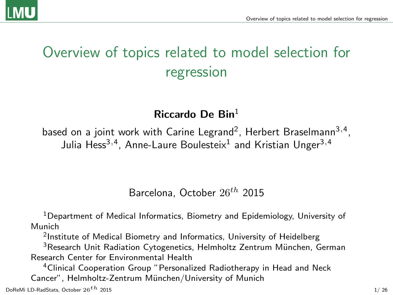# Overview of topics related to model selection for regression

# Riccardo De  $\text{Bin}^1$

based on a joint work with Carine Legrand<sup>2</sup>, Herbert Braselmann $^{3,4}$ , Julia Hess $^{3,4}$ , Anne-Laure Boulesteix $^1$  and Kristian Unger $^{3,4}$ 

# <span id="page-0-0"></span>Barcelona, October  $26^{th}$  2015

<sup>1</sup>Department of Medical Informatics, Biometry and Epidemiology, University of Munich

 $^2$ Institute of Medical Biometry and Informatics, University of Heidelberg

 $3$ Research Unit Radiation Cytogenetics, Helmholtz Zentrum München, German Research Center for Environmental Health

<sup>4</sup>Clinical Cooperation Group "Personalized Radiotherapy in Head and Neck Cancer", Helmholtz-Zentrum München/University of Munich  $\mathsf{DoR}$ eMi LD-RadStats, October 26<sup>th</sup> 2015 1/26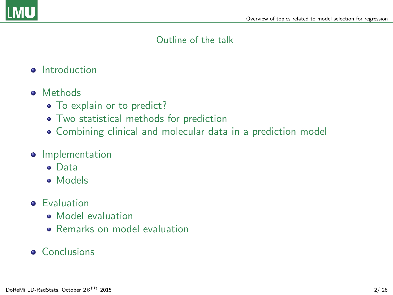# Outline of the talk

**•** [Introduction](#page-0-0)

# **o** [Methods](#page-3-0)

- [To explain or to predict?](#page-3-0)
- [Two statistical methods for prediction](#page-5-0)
- [Combining clinical and molecular data in a prediction model](#page-10-0)

# **·** [Implementation](#page-12-0)

- [Data](#page-12-0)
- [Models](#page-14-0)

# **•** [Evaluation](#page-16-0)

- [Model evaluation](#page-16-0)
- [Remarks on model evaluation](#page-18-0)

# **•** [Conclusions](#page-23-0)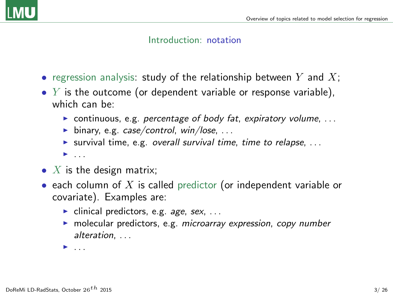

#### Introduction: notation

- regression analysis: study of the relationship between Y and  $X$ ;
- $Y$  is the outcome (or dependent variable or response variable), which can he:
	- $\triangleright$  continuous, e.g. percentage of body fat, expiratory volume, ...
	- $\blacktriangleright$  binary, e.g. case/control, win/lose, ...
	- $\triangleright$  survival time, e.g. overall survival time, time to relapse, ...

 $\blacktriangleright$  . . . . .

- $X$  is the design matrix;
- each column of X is called predictor (or independent variable or covariate). Examples are:
	- $\blacktriangleright$  clinical predictors, e.g. age, sex, ...
	- $\triangleright$  molecular predictors, e.g. microarray expression, copy number alteration, ...

<sup>I</sup> . . .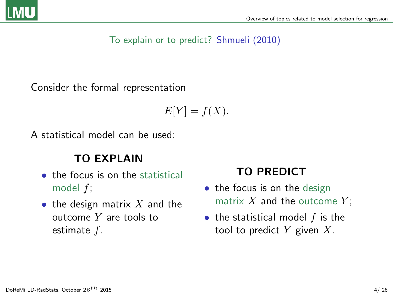# To explain or to predict? Shmueli (2010)

Consider the formal representation

$$
E[Y] = f(X).
$$

A statistical model can be used:

# TO EXPLAIN

- the focus is on the statistical model f;
- the design matrix  $X$  and the outcome  $Y$  are tools to estimate f.

# TO PREDICT

- the focus is on the design matrix  $X$  and the outcome  $Y$ ;
- <span id="page-3-0"></span>• the statistical model  $f$  is the tool to predict  $Y$  given  $X$ .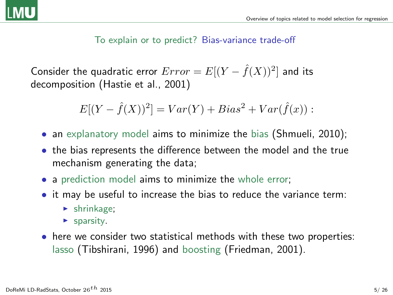

To explain or to predict? Bias-variance trade-off

Consider the quadratic error  $Error = E[(Y - \hat{f}(X))^2]$  and its decomposition (Hastie et al., 2001)

$$
E[(Y - \hat{f}(X))^2] = Var(Y) + Bias^2 + Var(\hat{f}(x)) :
$$

- an explanatory model aims to minimize the bias (Shmueli, 2010);
- the bias represents the difference between the model and the true mechanism generating the data;
- a prediction model aims to minimize the whole error;
- it may be useful to increase the bias to reduce the variance term:
	- $\blacktriangleright$  shrinkage;
	- $\blacktriangleright$  sparsity.
- here we consider two statistical methods with these two properties: lasso (Tibshirani, 1996) and boosting (Friedman, 2001).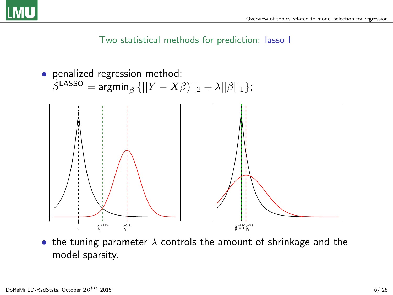<span id="page-5-0"></span>

Two statistical methods for prediction: lasso I

# • penalized regression method:

$$
\hat{\beta}^{\mathsf{LASSO}} = \mathsf{argmin}_{\beta} \left\{ ||Y - X\beta||_2 + \lambda ||\beta||_1 \right\};
$$



• the tuning parameter  $\lambda$  controls the amount of shrinkage and the model sparsity.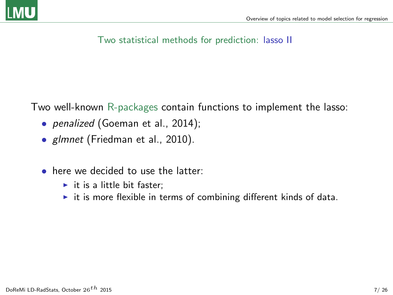# Two statistical methods for prediction: lasso II

Two well-known R-packages contain functions to implement the lasso:

- *penalized* (Goeman et al., 2014);
- glmnet (Friedman et al., 2010).
- here we decided to use the latter:
	- $\blacktriangleright$  it is a little bit faster;
	- $\triangleright$  it is more flexible in terms of combining different kinds of data.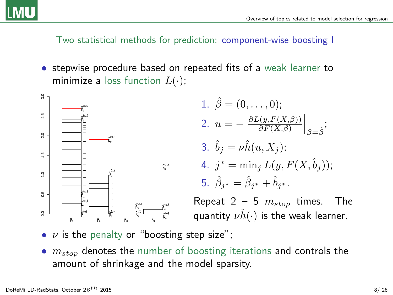

Two statistical methods for prediction: component-wise boosting I

• stepwise procedure based on repeated fits of a weak learner to minimize a loss function  $L(\cdot)$ ;



1. 
$$
\hat{\beta} = (0, ..., 0);
$$
  
\n2.  $u = -\frac{\partial L(y, F(X, \beta))}{\partial F(X, \beta)}\Big|_{\beta = \hat{\beta}};$   
\n3.  $\hat{b}_j = \nu \hat{h}(u, X_j);$   
\n4.  $j^* = \min_j L(y, F(X, \hat{b}_j));$   
\n5.  $\hat{\beta}_{j^*} = \hat{\beta}_{j^*} + \hat{b}_{j^*}.$ 

Repeat 2 – 5  $m_{stop}$  times. The quantity  $\nu \hat{h}(\cdot)$  is the weak learner.

- $\nu$  is the penalty or "boosting step size";
- $\bullet$   $m_{ston}$  denotes the number of boosting iterations and controls the amount of shrinkage and the model sparsity.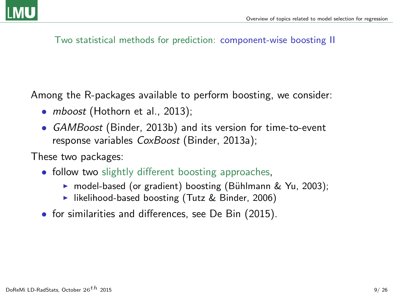# Two statistical methods for prediction: component-wise boosting II

Among the R-packages available to perform boosting, we consider:

- *mboost* (Hothorn et al., 2013);
- GAMBoost (Binder, 2013b) and its version for time-to-event response variables CoxBoost (Binder, 2013a);

These two packages:

- follow two slightly different boosting approaches,
	- ▶ model-based (or gradient) boosting (Bühlmann & Yu, 2003);
	- $\blacktriangleright$  likelihood-based boosting (Tutz & Binder, 2006)
- for similarities and differences, see De Bin (2015).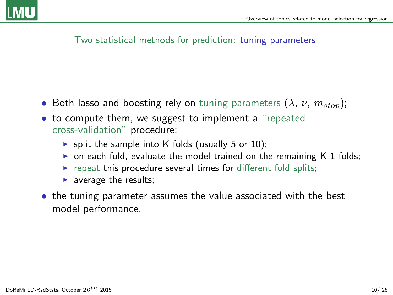## Two statistical methods for prediction: tuning parameters

- Both lasso and boosting rely on tuning parameters  $(\lambda, \nu, m_{stop});$
- to compute them, we suggest to implement a "repeated cross-validation" procedure:
	- $\triangleright$  split the sample into K folds (usually 5 or 10);
	- $\triangleright$  on each fold, evaluate the model trained on the remaining K-1 folds;
	- $\triangleright$  repeat this procedure several times for different fold splits;
	- $\blacktriangleright$  average the results;
- the tuning parameter assumes the value associated with the best model performance.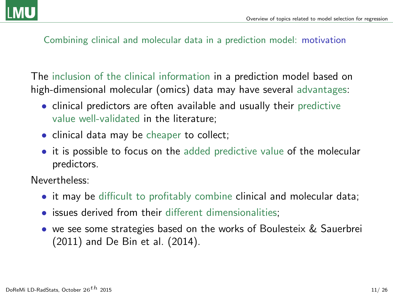

#### Combining clinical and molecular data in a prediction model: motivation

The inclusion of the clinical information in a prediction model based on high-dimensional molecular (omics) data may have several advantages:

- clinical predictors are often available and usually their predictive value well-validated in the literature;
- clinical data may be cheaper to collect;
- it is possible to focus on the added predictive value of the molecular predictors.

Nevertheless:

- it may be difficult to profitably combine clinical and molecular data;
- issues derived from their different dimensionalities:
- <span id="page-10-0"></span>• we see some strategies based on the works of Boulesteix & Sauerbrei (2011) and De Bin et al. (2014).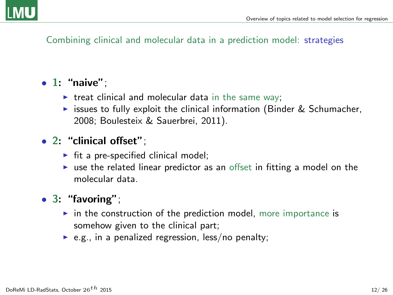## Combining clinical and molecular data in a prediction model: strategies

# $\bullet$  1: "naive":

- $\triangleright$  treat clinical and molecular data in the same way;
- $\triangleright$  issues to fully exploit the clinical information (Binder & Schumacher, 2008; Boulesteix & Sauerbrei, 2011).

# • 2: "clinical offset";

- $\triangleright$  fit a pre-specified clinical model;
- $\triangleright$  use the related linear predictor as an offset in fitting a model on the molecular data.
- 3: "favoring";
	- $\triangleright$  in the construction of the prediction model, more importance is somehow given to the clinical part;
	- $\blacktriangleright$  e.g., in a penalized regression, less/no penalty;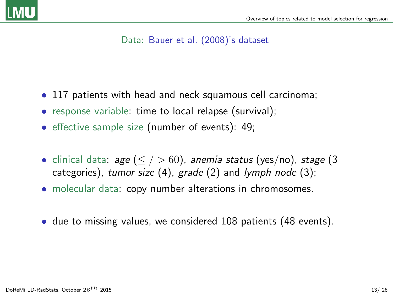

# Data: Bauer et al. (2008)'s dataset

- 117 patients with head and neck squamous cell carcinoma;
- response variable: time to local relapse (survival);
- effective sample size (number of events): 49;
- clinical data: age ( $\le$  /  $>$  60), anemia status (yes/no), stage (3 categories), tumor size  $(4)$ , grade  $(2)$  and lymph node  $(3)$ ;
- molecular data: copy number alterations in chromosomes.
- <span id="page-12-0"></span>• due to missing values, we considered 108 patients (48 events).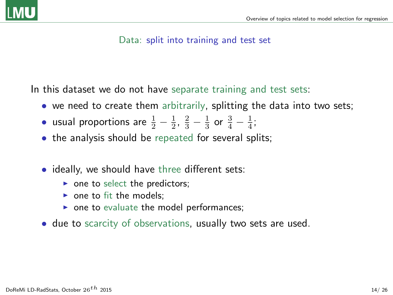

#### Data: split into training and test set

In this dataset we do not have separate training and test sets:

- we need to create them arbitrarily, splitting the data into two sets;
- usual proportions are  $\frac{1}{2} \frac{1}{2}$ ,  $\frac{2}{3} \frac{1}{3}$  or  $\frac{3}{4} \frac{1}{4}$ ;
- the analysis should be repeated for several splits;
- ideally, we should have three different sets:
	- $\triangleright$  one to select the predictors;
	- $\triangleright$  one to fit the models:
	- $\triangleright$  one to evaluate the model performances;
- due to scarcity of observations, usually two sets are used.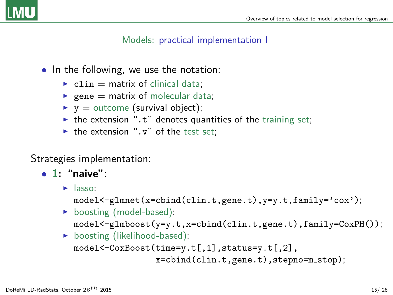

# Models: practical implementation I

- In the following, we use the notation:
	- $\blacktriangleright$  clin = matrix of clinical data;
	- **P** gene = matrix of molecular data;
	- $\triangleright$  y = outcome (survival object);
	- $\triangleright$  the extension ".t" denotes quantities of the training set;
	- $\blacktriangleright$  the extension ".v" of the test set;

Strategies implementation:

- 1: "naive":
	- $\blacktriangleright$  lasso:

model<-glmnet(x=cbind(clin.t,gene.t),y=y.t,family='cox');

- $\blacktriangleright$  boosting (model-based): model<-glmboost(y=y.t,x=cbind(clin.t,gene.t),family=CoxPH());
- $\blacktriangleright$  boosting (likelihood-based):

```
model<-CoxBoost(time=y.t[,1],status=y.t[,2],
```

```
x = \text{cbind}( \text{clip.t}, \text{gene.t}), \text{stepno} = m \text{stop};
```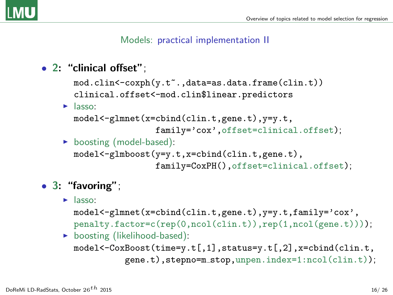#### Models: practical implementation II

# • 2: "clinical offset":

```
mod.clin<-coxph(y.t~.,data=as.data.frame(clin.t))
clinical.offset<-mod.clin$linear.predictors
```
#### $\blacktriangleright$  lasso:

```
model<-glmnet(x=cbind(clin.t,gene.t),y=y.t,
```

```
family='cox',offset=clinical.offset);
```
 $\blacktriangleright$  boosting (model-based):

```
model<-glmboost(y=y.t,x=cbind(clin.t,gene.t),
                family=CoxPH(),offset=clinical.offset);
```
# • 3: "favoring";

```
\blacktriangleright lasso:
```

```
model<-glmnet(x=cbind(clin.t,gene.t),y=y.t,family='cox',
penalty.factor=c(rep(0,ncol(clin.t)),rep(1,ncol(gene.t))));
```

```
\blacktriangleright boosting (likelihood-based):
  model<-CoxBoost(time=y.t[,1],status=y.t[,2],x=cbind(clin.t,
              gene.t),stepno=m_stop,unpen.index=1:ncol(clin.t));
```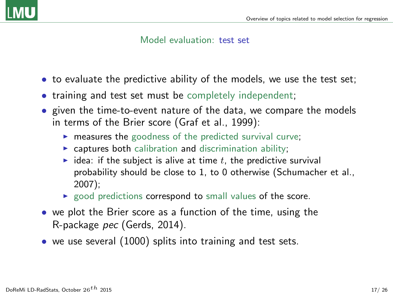

#### Model evaluation: test set

- to evaluate the predictive ability of the models, we use the test set;
- training and test set must be completely independent;
- given the time-to-event nature of the data, we compare the models in terms of the Brier score (Graf et al., 1999):
	- $\triangleright$  measures the goodness of the predicted survival curve;
	- $\triangleright$  captures both calibration and discrimination ability;
	- idea: if the subject is alive at time t, the predictive survival probability should be close to 1, to 0 otherwise (Schumacher et al., 2007);
	- $\triangleright$  good predictions correspond to small values of the score.
- we plot the Brier score as a function of the time, using the R-package pec (Gerds, 2014).
- <span id="page-16-0"></span>• we use several (1000) splits into training and test sets.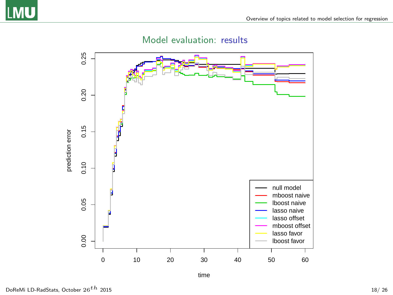# Model evaluation: results



time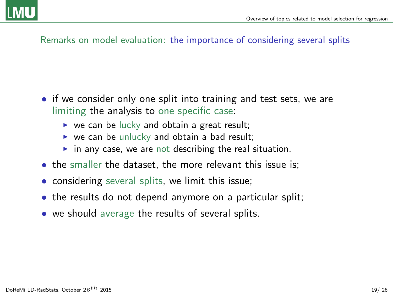#### Remarks on model evaluation: the importance of considering several splits

- if we consider only one split into training and test sets, we are limiting the analysis to one specific case:
	- $\triangleright$  we can be lucky and obtain a great result;
	- $\triangleright$  we can be unlucky and obtain a bad result;
	- $\triangleright$  in any case, we are not describing the real situation.
- the smaller the dataset, the more relevant this issue is:
- considering several splits, we limit this issue;
- the results do not depend anymore on a particular split;
- <span id="page-18-0"></span>• we should average the results of several splits.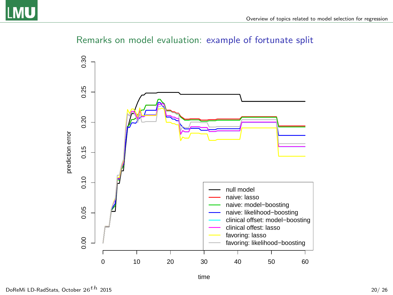

#### Remarks on model evaluation: example of fortunate split

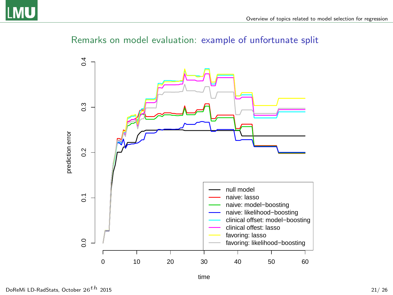

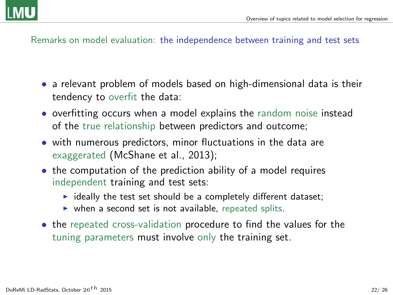

#### Remarks on model evaluation: the independence between training and test sets

- a relevant problem of models based on high-dimensional data is their tendency to overfit the data:
- overfitting occurs when a model explains the random noise instead of the true relationship between predictors and outcome;
- with numerous predictors, minor fluctuations in the data are exaggerated (McShane et al., 2013);
- the computation of the prediction ability of a model requires independent training and test sets:
	- $\triangleright$  ideally the test set should be a completely different dataset;
	- $\triangleright$  when a second set is not available, repeated splits.
- the repeated cross-validation procedure to find the values for the tuning parameters must involve only the training set.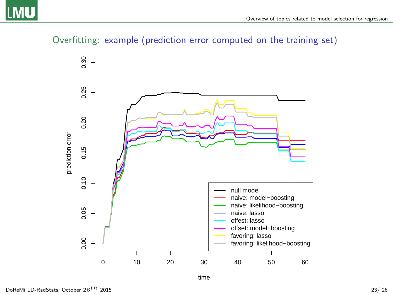# Overfitting: example (prediction error computed on the training set)



time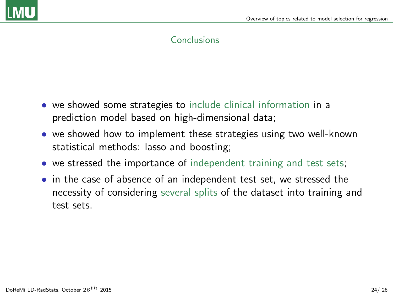

# <span id="page-23-0"></span>Conclusions

- we showed some strategies to include clinical information in a prediction model based on high-dimensional data;
- we showed how to implement these strategies using two well-known statistical methods: lasso and boosting;
- we stressed the importance of independent training and test sets;
- in the case of absence of an independent test set, we stressed the necessity of considering several splits of the dataset into training and test sets.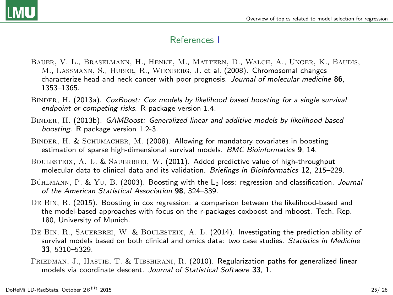

#### References I

- Bauer, V. L., Braselmann, H., Henke, M., Mattern, D., Walch, A., Unger, K., Baudis, M., Lassmann, S., Huber, R., Wienberg, J. et al. (2008). Chromosomal changes characterize head and neck cancer with poor prognosis. Journal of molecular medicine 86, 1353–1365.
- BINDER, H. (2013a). CoxBoost: Cox models by likelihood based boosting for a single survival endpoint or competing risks. R package version 1.4.
- Binder, H. (2013b). GAMBoost: Generalized linear and additive models by likelihood based boosting. R package version 1.2-3.
- BINDER, H. & SCHUMACHER, M. (2008). Allowing for mandatory covariates in boosting estimation of sparse high-dimensional survival models. *BMC Bioinformatics* 9, 14.
- BOULESTEIX, A. L. & SAUERBREI, W. (2011). Added predictive value of high-throughput molecular data to clinical data and its validation. Briefings in Bioinformatics 12, 215–229.
- BÜHLMANN, P. & YU, B. (2003). Boosting with the  $L_2$  loss: regression and classification. Journal of the American Statistical Association 98, 324–339.
- DE BIN, R. (2015). Boosting in cox regression: a comparison between the likelihood-based and the model-based approaches with focus on the r-packages coxboost and mboost. Tech. Rep. 180, University of Munich.
- DE BIN, R., SAUERBREI, W. & BOULESTEIX, A. L. (2014). Investigating the prediction ability of survival models based on both clinical and omics data: two case studies. Statistics in Medicine 33, 5310–5329.
- FRIEDMAN, J., HASTIE, T. & TIBSHIRANI, R. (2010). Regularization paths for generalized linear models via coordinate descent. Journal of Statistical Software 33, 1.